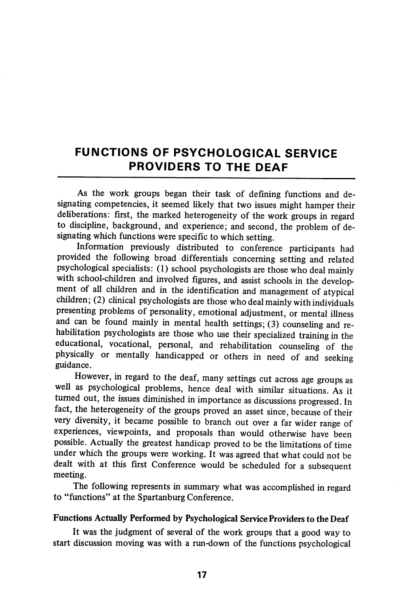# FUNCTIONS OF PSYCHOLOGICAL SERVICE PROVIDERS TO THE DEAF

As the work groups began their task of defining functions and de signating competencies, it seemed likely that two issues might hamper their deliberations: first, the marked heterogeneity of the work groups in regard to discipline, background, and experience; and second, the problem of de signating which functions were specific to which setting.

Information previously distributed to conference participants had provided the following broad differentials concerning setting and related psychological specialists: (1) school psychologists are those who deal mainly with school-children and involved figures, and assist schools in the develop ment of all children and in the identification and management of atypical children; (2) clinical psychologists are those who deal mainly with individuals presenting problems of personality, emotional adjustment, or mental illness and can be found mainly in mental health settings; (3) counseling and re habilitation psychologists are those who use their specialized training in the educational, vocational, personal, and rehabilitation counseling of the physically or mentally handicapped or others in need of and seeking guidance.

However, in regard to the deaf, many settings cut across age groups as well as psychological problems, hence deal with similar situations. As it turned out, the issues diminished in importance as discussions progressed. In fact, the heterogeneity of the groups proved an asset since, because of their very diversity, it became possible to branch out over a far wider range of experiences, viewpoints, and proposals than would otherwise have been possible. Actually the greatest handicap proved to be the limitations of time under which the groups were working. It was agreed that what could not be dealt with at this first Conference would be scheduled for a subsequent meeting.

The following represents in summary what was accomplished in regard to "functions" at the Spartanburg Conference.

#### Functions Actually Performed by Psychological Service Providers to the Deaf

It was the judgment of several of the work groups that a good way to start discussion moving was with a run-down of the functions psychological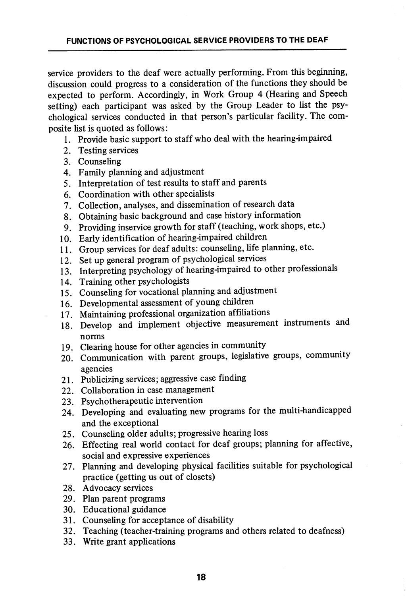service providers to the deaf were actually performing. From this beginning, discussion could progress to a consideration of the functions they should be expected to perform. Accordingly, in Work Group 4 (Hearing and Speech setting) each participant was asked by the Group Leader to list the psy chological services conducted in that person's particular facility. The com posite list is quoted as follows:

- 1. Provide basic support to staff who deal with the hearing-impaired
- 2. Testing services
- 3. Counseling
- 4. Family planning and adjustment
- 5. Interpretation of test results to staff and parents
- 6. Coordination with other specialists
- 7. Collection, analyses, and dissemination of research data
- 8. Obtaining basic background and case history information
- 9. Providing inservice growth for staff (teaching, work shops, etc.)
- 10. Early identification of hearing-impaired children
- 11. Group services for deaf adults: counseling, life planning, etc.
- 12. Set up general program of psychological services
- 13. Interpreting psychology of hearing-impaired to other professionals
- 14. Training other psychologists
- 15. Counseling for vocational planning and adjustment
- 16. Developmental assessment of young children
- 17. Maintaining professional organization affiliations
- 18. Develop and implement objective measurement instruments and norms
- 19. Clearing house for other agencies in community
- 20. Communication with parent groups, legislative groups, community agencies
- 21. Publicizing services; aggressive case finding
- 22. Collaboration in case management
- 23. Psychotherapeutic intervention
- 24. Developing and evaluating new programs for the multi-handicapped and the exceptional
- 25. Counseling older adults; progressive hearing loss
- 26. Effecting real world contact for deaf groups; planning for affective, social and expressive experiences
- 27. Planning and developing physical facilities suitable for psychological practice (getting us out of closets)
- 28. Advocacy services
- 29. Plan parent programs
- 30. Educational guidance
- 31. Counseling for acceptance of disability
- 32. Teaching (teacher-training programs and others related to deafness)
- 33. Write grant applications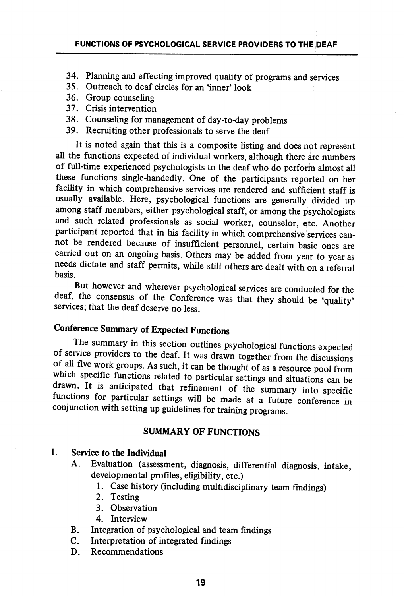- 34. Planning and effecting improved quality of programs and services
- 35. Outreach to deaf circles for an'inner'look
- 36. Group counseling
- 37. Crisis intervention
- 38. Counseling for management of day-to-day problems
- 39. Recruiting other professionals to serve the deaf

It is noted again that this is a composite listing and does not represent all the functions expected of individual workers, although there are numbers of full-time experienced psychologists to the deaf who do perform almost all these functions single-handedly. One of the participants reported on her facility in which comprehensive services are rendered and sufficient staff is usually available. Here, psychological functions are generally divided up among staff members, either psychological staff, or among the psychologists and such related professionals as social worker, counselor, etc. Another participant reported that in his facility in which comprehensive services cannot be rendered because of insufficient personnel, certain basic ones are carried out on an ongoing basis. Others may be added from year to year as needs dictate and staff permits, while still others are dealt with on a referral basis.

But however and wherever psychological services are conducted for the deaf, the consensus of the Conference was that they should be 'quality' services; that the deaf deserve no less.

## Conference Summary of Expected Functions

The summary in this section outlines psychological fimctions expected of service providers to the deaf. It was drawn together from the discussions of all five work groups. As such, it can be thought of as a resource pool from which specific functions related to particular settings and situations can be drawn. It is anticipated that refinement of the summary into specific functions for particular settings will be made at a future conference in conjunction with setting up guidelines for training programs.

### SUMMARY OF FUNCTIONS

## I. Service to the Individual

- A. Evaluation (assessment, diagnosis, differential diagnosis, intake, developmental profiles, eligibility, etc.)
	- 1. Case history (including multidisciplinary team findings)
	- 2. Testing
	- 3. Observation
	- 4. Interview
- B. Integration of psychological and team findings
- C. Interpretation of integrated findings
- D. Recommendations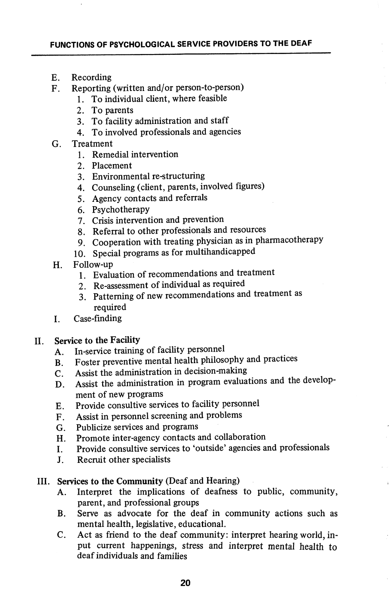- E. Recording
- F. Reporting (written and/or person-to-person)
	- 1. To individual client, where feasible
	- 2. To parents
	- 3. To facility administration and staff
	- 4. To involved professionals and agencies
- G. Treatment
	- 1. Remedial intervention
	- 2. Placement
	- 3. Environmental re-structuring
	- 4. Counseling (client, parents, involved figures)
	- 5. Agency contacts and referrals
	- 6. Psychotherapy
	- 7. Crisis intervention and prevention
	- 8. Referral to other professionals and resources
	- 9. Cooperation with treating physician as in pharmacotherapy
	- 10. Special programs as for multihandicapped
- H. Follow-up
	- 1. Evaluation of recommendations and treatment
	- 2. Re-assessment of individual as required
	- 3. Patterning of new recommendations and treatment as required
- I. Case-finding

#### II. Service to the Facility

- A. In-service training of facility personnel
- B. Foster preventive mental health philosophy and practices
- C. Assist the administration in decision-making
- D. Assist the administration in program evaluations and the develop ment of new programs
- E. Provide consultive services to facihty personnel
- F. Assist in personnel screening and problems
- G. Publicize services and programs
- H. Promote inter-agency contacts and collaboration
- I. Provide consultive services to 'outside' agencies and professionals
- J. Recruit other specialists

#### III. Services to the Community (Deaf and Hearing)

- A. Interpret the implications of deafness to public, community, parent, and professional groups
- B. Serve as advocate for the deaf in community actions such as mental health, legislative, educational.
- C. Act as friend to the deaf community: interpret hearing world, in put current happenings, stress and interpret mental health to deaf individuals and families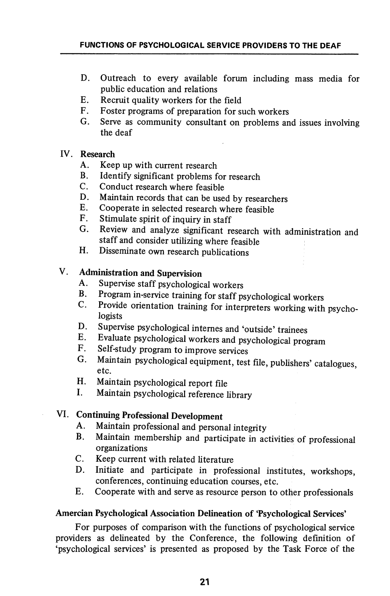- D. Outreach to every available forum including mass media for public education and relations
- E. Recruit quality workers for the field
- F. Foster programs of preparation for such workers
- G. Serve as community consultant on problems and issues involving the deaf

#### IV. Research

- A. Keep up with current research
- B. Identify significant problems for research
- C. Conduct research where feasible
- D. Maintain records that can be used by researchers
- E. Cooperate in selected research where feasible
- F. Stimulate spirit of inquiry in staff
- G. Review and analyze significant research with administration and staff and consider utilizing where feasible
- H. Disseminate own research publications

## V. Administration and Supervision

- A. Supervise staff psychological workers
- Program in-service training for staff psychological workers  $\mathbf{B}$ .
- C. Provide orientation training for interpreters working with psycho logists
- D. Supervise psychological internes and 'outside' trainees
- E. Evaluate psychological workers and psychological program
- F. Self-study program to improve services
- G. Maintain psychological equipment, test file, publishers' catalogues, etc.
- H. Maintain psychological report file
- I. Maintain psychological reference library

## VI. Continuing Professional Development

- A. Maintain professional and personal integrity
- B. Maintain membership and participate in activities of professional organizations
- C. Keep current with related literature
- D. Initiate and participate in professional institutes, workshops, conferences, continuing education courses, etc.
- E. Cooperate with and serve as resource person to other professionals

#### Amercian Psychological Association Delineation of 'Psychological Services'

For purposes of comparison with the functions of psychological service providers as delineated by the Conference, the following definition of 'psychological services' is presented as proposed by the Task Force of the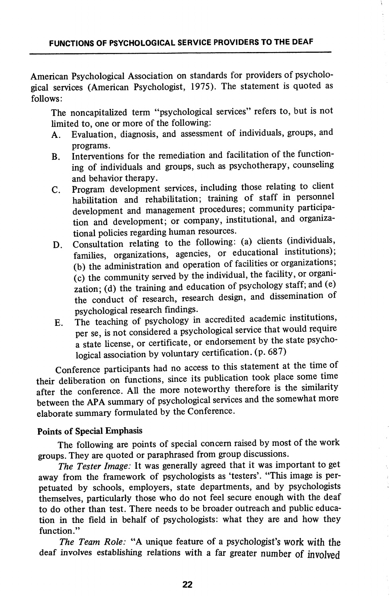American Psychological Association on standards for providers of psycholo gical services (American Psychologist, 1975). The statement is quoted as follows:

The noncapitalized term "psychological services" refers to, but is not limited to, one or more of the following:

- A. Evaluation, diagnosis, and assessment of individuals, groups, and programs.
- B. Interventions for the remediation and facilitation of the functioning of individuals and groups, such as psychotherapy, counseling and behavior therapy.
- C. Program development services, including those relating to client habihtation and rehabilitation; training of staff in personnel development and management procedures; community participa tion and development; or company, institutional, and organiza tional policies regarding human resources.
- D. Consultation relating to the following: (a) clients (individuals, families, organizations, agencies, or educational institutions); (b) the administration and operation of facihties or organizations;  $(c)$  the community served by the individual, the facility, or organization; (d) the training and education of psychology staff; and (e) the conduct of research, research design, and dissemination of psychological research findings.
- E. The teaching of psychology in accredited academic institutions, per se, is not considered a psychological service that would require a state license, or certificate, or endorsement by the state psychological association by voluntary certification, (p. 687)

Conference participants had no access to this statement at the time of their deliberation on functions, since its publication took place some time after the conference. All the more noteworthy therefore is the similarity between the APA summary of psychological services and the somewhat more elaborate summary formulated by the Conference.

#### Points of Special Emphasis

The following are points of special concern raised by most of the work groups. They are quoted or paraphrased from group discussions.

The Tester Image: It was generally agreed that it was important to get away from the framework of psychologists as 'testers'. "This image is per petuated by schools, employers, state departments, and by psychologists themselves, particularly those who do not feel secure enough with the deaf to do other than test. There needs to be broader outreach and public education in the field in behalf of psychologists: what they are and how they function."

The Team Role: "A unique feature of a psychologist's work with the deaf involves establishing relations with a far greater number of involved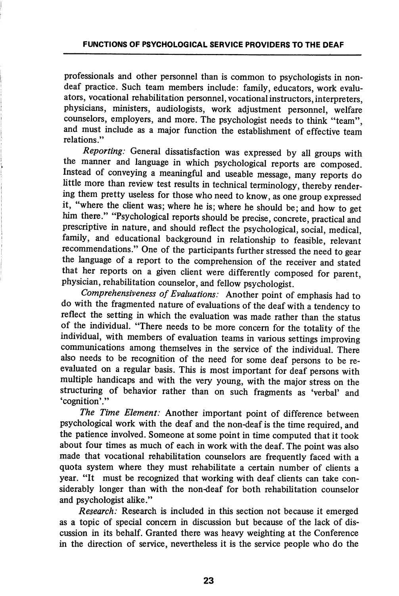professionals and other personnel than is common to psychologists in nondeaf practice. Such team members include: family, educators, work evaluators, vocational rehabilitation personnel, vocational instructors, interpreters, physicians, ministers, audiologists, work adjustment personnel, welfare counselors, employers, and more. The psychologist needs to think "team", and must include as a major function the establishment of effective team relations"

Reporting: General dissatisfaction was expressed by all groups with the manner and language in which psychological reports are composed. Instead of conveying a meaningful and useable message, many reports do little more than review test results in technical terminology, thereby render ing them pretty useless for those who need to know, as one group expressed it, where the client was; where he is; where he should be; and how to get him there." "Psychological reports should be precise, concrete, practical and prescriptive in nature, and should reflect the psychological, social, medical, family, and educational background in relationship to feasible, relevant recommendations." One of the participants further stressed the need to gear the language of a report to the comprehension of the receiver and stated that her reports on a given client were differently composed for parent, physician, rehabilitation counselor, and fellow psychologist.

Comprehensiveness of Evaluations: Another point of emphasis had to do with the fragmented nature of evaluations of the deaf with a tendency to reflect the setting in which the evaluation was made rather than the status of the individual. "There needs to be more concern for the totality of the individual, with members of evaluation teams in various settings improving communications among themselves in the service of the individual. There also needs to be recogmtion of the need for some deaf persons to be reevaluated on a regular basis. This is most important for deaf persons with multiple handicaps and with the very young, with the major stress on the structuring of behavior rather than on such fragments as 'verbal' and 'cognition'."

The Time Element: Another important point of difference between psychological work with the deaf and the non-deaf is the time required, and the patience involved. Someone at some point in time computed that it took about four times as much of each in work with the deaf. The point was also made that vocational rehabilitation counselors are frequently faced with a quota system where they must rehabilitate a certain number of clients a year. "It must be recognized that working with deaf clients can take con siderably longer than with the non-deaf for both rehabilitation counselor and psychologist alike."

Research: Research is included in this section not because it emerged as a topic of special concern in discussion but because of the lack of dis cussion in its behalf. Granted there was heavy weighting at the Conference in the direction of service, nevertheless it is the service people who do the